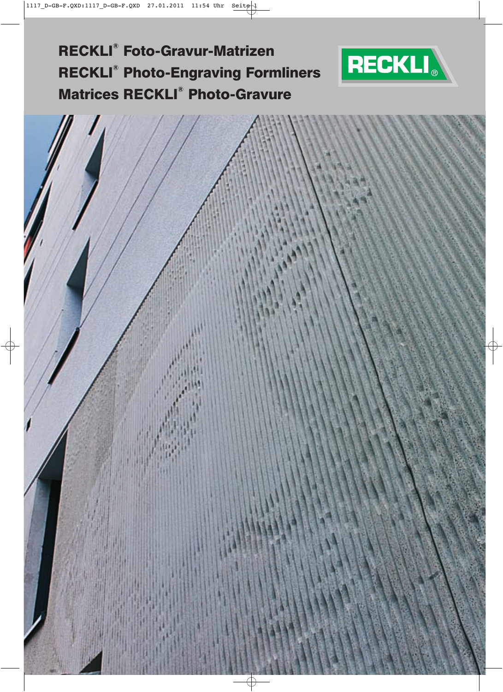# **RECKLI® Foto-Gravur-Matrizen RECKLI® Photo-Engraving Formliners Matrices RECKLI® Photo-Gravure**



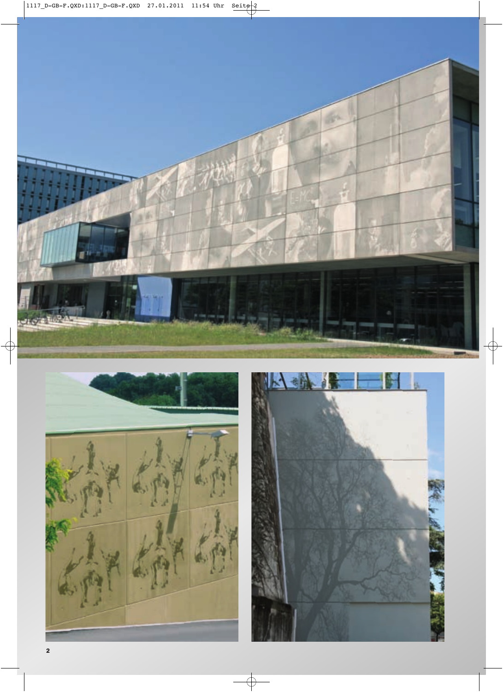



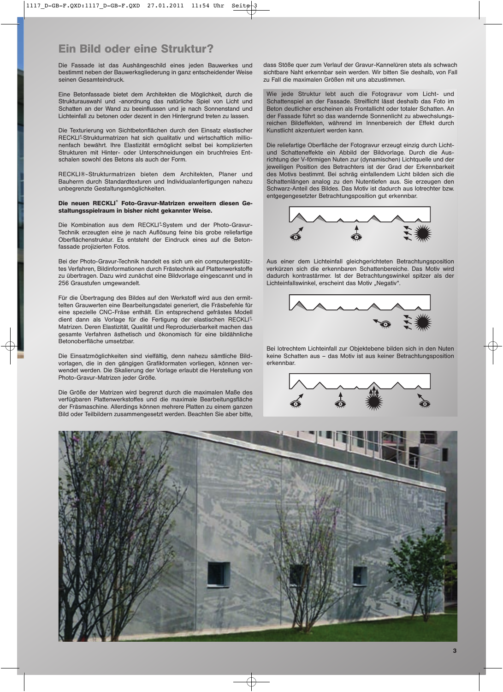### **Ein Bild oder eine Struktur?**

Die Fassade ist das Aushängeschild eines jeden Bauwerkes und bestimmt neben der Bauwerksgliederung in ganz entscheidender Weise seinen Gesamteindruck.

Eine Betonfassade bietet dem Architekten die Möglichkeit, durch die Strukturauswahl und -anordnung das natürliche Spiel von Licht und Schatten an der Wand zu beeinflussen und je nach Sonnenstand und Lichteinfall zu betonen oder dezent in den Hintergrund treten zu lassen.

Die Texturierung von Sichtbetonflächen durch den Einsatz elastischer RECKLI<sup>®</sup>Strukturmatrizen hat sich qualitativ und wirtschaftlich millionenfach bewährt. Ihre Elastizität ermöglicht selbst bei komplizierten Strukturen mit Hinter- oder Unterschneidungen ein bruchfreies Entschalen sowohl des Betons als auch der Form.

RECKLI®-Strukturmatrizen bieten dem Architekten, Planer und Bauherrn durch Standardtexturen und Individualanfertigungen nahezu unbegrenzte Gestaltungsmöglichkeiten.

#### **Die neuen RECKLI® Foto-Gravur-Ma trizen erweitern diesen Ge**  staltungsspielraum in bisher nicht gekannter Weise.

Die Kombination aus dem RECKLI<sup>®</sup>-System und der Photo-Gravur-Technik erzeugten eine je nach Auflösung feine bis grobe reliefartige Oberflächenstruktur. Es entsteht der Eindruck eines auf die Betonfassade projizierten Fotos.

Bei der Photo-Gravur-Technik handelt es sich um ein computergestütztes Verfahren, Bildinformationen durch Frästechnik auf Plattenwerkstoffe zu übertragen. Dazu wird zunächst eine Bildvorlage eingescannt und in 256 Graustufen umgewandelt.

Für die Übertragung des Bildes auf den Werkstoff wird aus den ermittelten Grauwerten eine Bearbeitungsdatei generiert, die Fräsbefehle für eine spezielle CNC-Fräse enthält. Ein entsprechend gefrästes Modell dient dann als Vorlage für die Fertigung der elastischen RECKLI<sup>®</sup> Matrizen. Deren Elastizität, Qualität und Reproduzierbarkeit machen das gesamte Verfahren ästhetisch und ökonomisch für eine bildähnliche Betonoberfläche umsetzbar.

Die Einsatzmöglichkeiten sind vielfältig, denn nahezu sämtliche Bildvorlagen, die in den gängigen Grafikformaten vorliegen, können verwendet werden. Die Skalierung der Vorlage erlaubt die Herstellung von Photo-Gravur-Matrizen jeder Größe.

Die Größe der Matrizen wird begrenzt durch die maximalen Maße des verfügbaren Plattenwerkstoffes und die maximale Bearbeitungsfläche der Fräsmaschine. Allerdings können mehrere Platten zu einem ganzen Bild oder Teilbildern zusammengesetzt werden. Beachten Sie aber bitte,

dass Stöße quer zum Verlauf der Gravur-Kannelüren stets als schwach sichtbare Naht erkennbar sein werden. Wir bitten Sie deshalb, von Fall zu Fall die maximalen Größen mit uns abzustimmen.

Wie jede Struktur lebt auch die Fotogravur vom Licht- und Schattenspiel an der Fassade. Streiflicht lässt deshalb das Foto im Beton deutlicher erscheinen als Frontallicht oder totaler Schatten. An der Fassade führt so das wandernde Sonnenlicht zu abwechslungsreichen Bildeffekten, während im Innenbereich der Effekt durch Kunstlicht akzentuiert werden kann.

Die reliefartige Oberfläche der Fotogravur erzeugt einzig durch Lichtund Schatteneffekte ein Abbild der Bildvorlage. Durch die Ausrichtung der V-förmigen Nuten zur (dynamischen) Lichtquelle und der jeweiligen Position des Betrachters ist der Grad der Erkennbarkeit des Motivs bestimmt. Bei schräg einfallendem Licht bilden sich die Schattenlängen analog zu den Nutentiefen aus. Sie erzeugen den Schwarz-Anteil des Bildes. Das Motiv ist dadurch aus lotrechter bzw. entgegengesetzter Betrachtungsposition gut erkennbar.



Aus einer dem Lichteinfall gleichgerichteten Betrachtungsposition verkürzen sich die erkennbaren Schattenbereiche. Das Motiv wird dadurch kontrastärmer. Ist der Betrachtungswinkel spitzer als der Lichteinfallswinkel, erscheint das Motiv "Negativ".



Bei lotrechtem Lichteinfall zur Objektebene bilden sich in den Nuten keine Schatten aus – das Motiv ist aus keiner Betrachtungsposition erkennbar.



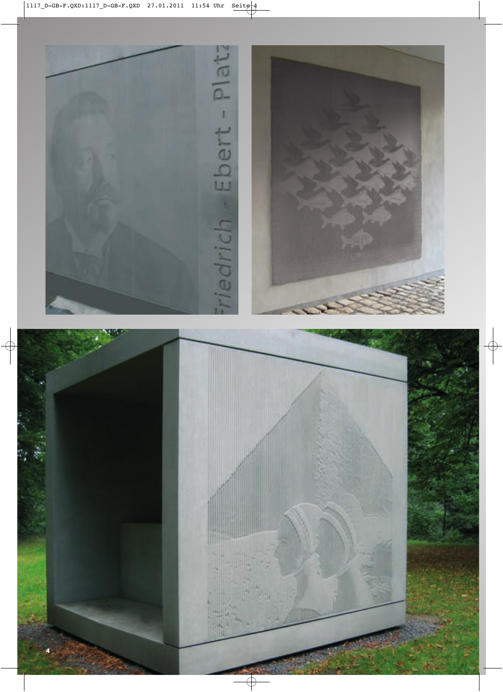



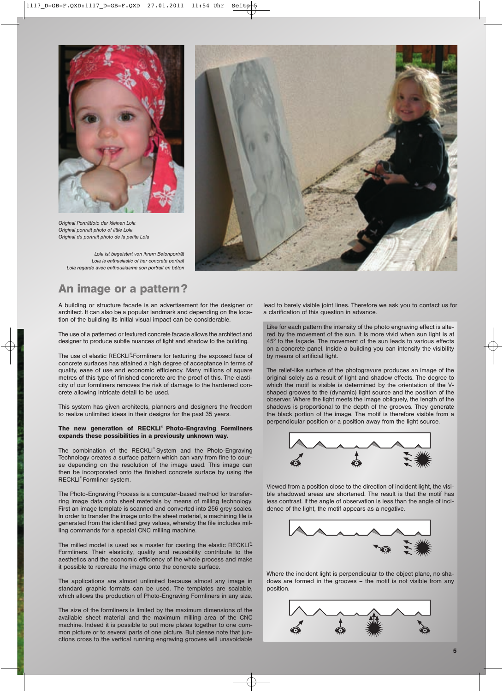

*Original Porträtfoto der kleinen Lola Original portrait photo of little Lola Original du portrait photo de la petite Lola*

*Lola ist begeistert von ihrem Betonporträt Lola is enthusiastic of her concrete portrait Lola regarde avec enthousiasme son portrait en béton*



## **An image or a pattern?**

A building or structure facade is an advertisement for the designer or architect. It can also be a popular landmark and depending on the location of the building its initial visual impact can be considerable.

The use of a patterned or textured concrete facade allows the architect and designer to produce subtle nuances of light and shadow to the building.

The use of elastic RECKLI®-Formliners for texturing the exposed face of concrete surfaces has attained a high degree of acceptance in terms of quality, ease of use and economic efficiency. Many millions of square metres of this type of finished concrete are the proof of this. The elasticity of our formliners removes the risk of damage to the hardened concrete allowing intricate detail to be used.

This system has given architects, planners and designers the freedom to realize unlimited ideas in their designs for the past 35 years.

#### **The new generation of RECKLI® Photo-Engraving Form liners**  expands these possibilities in a previously unknown way.

The combination of the RECKLI<sup>®</sup>-System and the Photo-Engraving Technology creates a surface pattern which can vary from fine to course depending on the resolution of the image used. This image can then be incorporated onto the finished concrete surface by using the RECKLI® -Formliner system.

The Photo-Engraving Process is a computer-based method for transferring image data onto sheet materials by means of milling technology. First an image template is scanned and converted into 256 grey scales. In order to transfer the image onto the sheet material, a machining file is generated from the identified grey values, whereby the file includes milling commands for a special CNC milling machine.

The milled model is used as a master for casting the elastic RECKLI<sup>®</sup> Formliners. Their elasticity, quality and reusability contribute to the aesthetics and the economic efficiency of the whole process and make it possible to recreate the image onto the concrete surface.

The applications are almost unlimited because almost any image in standard graphic formats can be used. The templates are scalable, which allows the production of Photo-Engraving Form liners in any size.

The size of the formliners is limited by the maximum dimensions of the available sheet material and the maximum milling area of the CNC machine. Indeed it is possible to put more plates together to one common picture or to several parts of one picture. But please note that junctions cross to the vertical running engraving grooves will unavoidable

lead to barely visible joint lines. Therefore we ask you to contact us for a clarification of this question in advance.

Like for each pattern the intensity of the photo engraving effect is altered by the movement of the sun. It is more vivid when sun light is at 45° to the façade. The movement of the sun leads to various effects on a concrete panel. Inside a building you can intensify the visibility by means of artificial light.

The relief-like surface of the photogravure produces an image of the original solely as a result of light and shadow effects. The degree to which the motif is visible is determined by the orientation of the Vshaped grooves to the (dynamic) light source and the position of the observer. Where the light meets the image obliquely, the length of the shadows is proportional to the depth of the grooves. They generate the black portion of the image. The motif is therefore visible from a perpendicular position or a position away from the light source.



Viewed from a position close to the direction of incident light, the visible shadowed areas are shortened. The result is that the motif has less contrast. If the angle of observation is less than the angle of incidence of the light, the motif appears as a negative.



Where the incident light is perpendicular to the object plane, no shadows are formed in the grooves – the motif is not visible from any position.

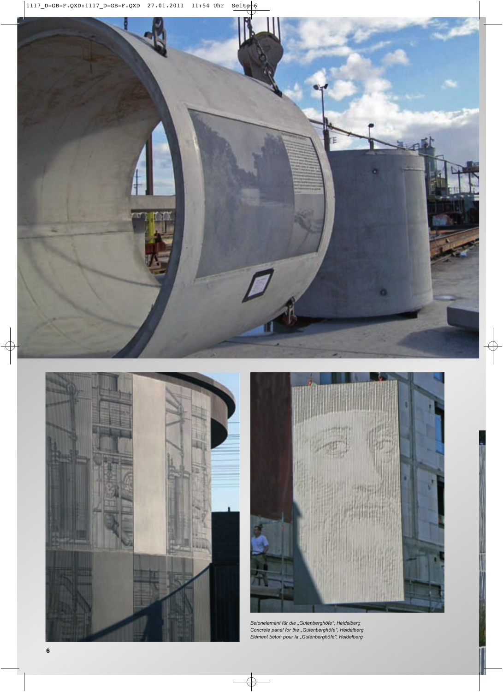





*Betonelement für die "Gutenberghöfe", Heidelberg Concrete panel for the "Gutenberghöfe", Heidelberg Elément béton pour la "Gutenberghöfe", Heidelberg*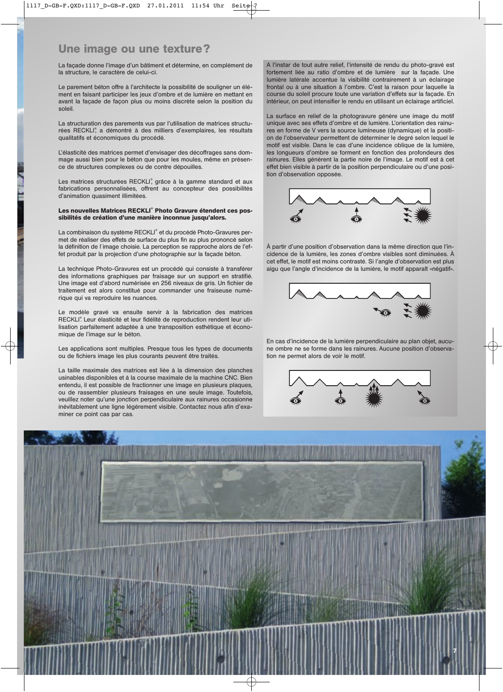### **Une image ou une texture?**

La façade donne l'image d'un bâtiment et détermine, en complément de la structure, le caractère de celui-ci.

Le parement béton offre à l'architecte la possibilité de souligner un élément en faisant participer les jeux d'ombre et de lumière en mettant en avant la façade de façon plus ou moins discrète selon la position du soleil.

La structuration des parements vus par l'utilisation de matrices structurées RECKLI<sup>®</sup>, a démontré à des milliers d'exemplaires, les résultats qualitatifs et économiques du procédé.

L'élasticité des matrices permet d'envisager des décoffrages sans dommage aussi bien pour le béton que pour les moules, même en présence de structures complexes ou de contre dépouilles.

Les matrices structurées RECKLI®, grâce à la gamme standard et aux fabrications personnalisées, offrent au concepteur des possibilités d'animation quasiment illimitées.

#### **Les nouvelles Matrices RECKLI® Photo Gravure étendent ces possibilités de création d'une manière inconnue jusqu'alors.**

La combinaison du système RECKLI® et du procédé Photo-Grayures permet de réaliser des effets de surface du plus fin au plus prononcé selon la définition de l'image choisie. La perception se rapproche alors de l'effet produit par la projection d'une photographie sur la façade béton.

La technique Photo-Gravures est un procédé qui consiste à transférer des informations graphiques par fraisage sur un support en stratifié. Une image est d'abord numérisée en 256 niveaux de gris. Un fichier de traitement est alors constitué pour commander une fraiseuse numérique qui va reproduire les nuances.

Le modèle gravé va ensuite servir à la fabrication des matrices RECKLI® . Leur élasticité et leur fidélité de reproduction rendent leur utilisation parfaitement adaptée à une transposition esthétique et économique de l'image sur le béton.

Les applications sont multiples. Presque tous les types de documents ou de fichiers image les plus courants peuvent être traités.

La taille maximale des matrices est liée à la dimension des planches usinables disponibles et à la course maximale de la machine CNC. Bien entendu, il est possible de fractionner une image en plusieurs plaques, ou de rassembler plusieurs fraisages en une seule image. Toutefois, veuillez noter qu'une jonction perpendiculaire aux rainures occasionne inévitablement une ligne légèrement visible. Contactez nous afin d'examiner ce point cas par cas.

A l'instar de tout autre relief, l'intensité de rendu du photo-gravé est fortement liée au ratio d'ombre et de lumière sur la façade. Une lumière latérale accentue la visibilité contrairement à un éclairage frontal ou à une situation à l'ombre. C'est la raison pour laquelle la course du soleil procure toute une variation d'effets sur la façade. En intérieur, on peut intensifier le rendu en utilisant un éclairage artificiel.

La surface en relief de la photogravure génère une image du motif unique avec ses effets d'ombre et de lumière. L'orientation des rainures en forme de V vers la source lumineuse (dynamique) et la position de l'observateur permettent de déterminer le degré selon lequel le motif est visible. Dans le cas d'une incidence oblique de la lumière, les longueurs d'ombre se forment en fonction des profondeurs des rainures. Elles génèrent la partie noire de l'image. Le motif est à cet effet bien visible à partir de la position perpendiculaire ou d'une position d'observation opposée.



À partir d'une position d'observation dans la même direction que l'incidence de la lumière, les zones d'ombre visibles sont diminuées. À cet effet, le motif est moins contrasté. Si l'angle d'observation est plus aigu que l'angle d'incidence de la lumière, le motif apparaît «négatif».



En cas d'incidence de la lumière perpendiculaire au plan objet, aucune ombre ne se forme dans les rainures. Aucune position d'observation ne permet alors de voir le motif.